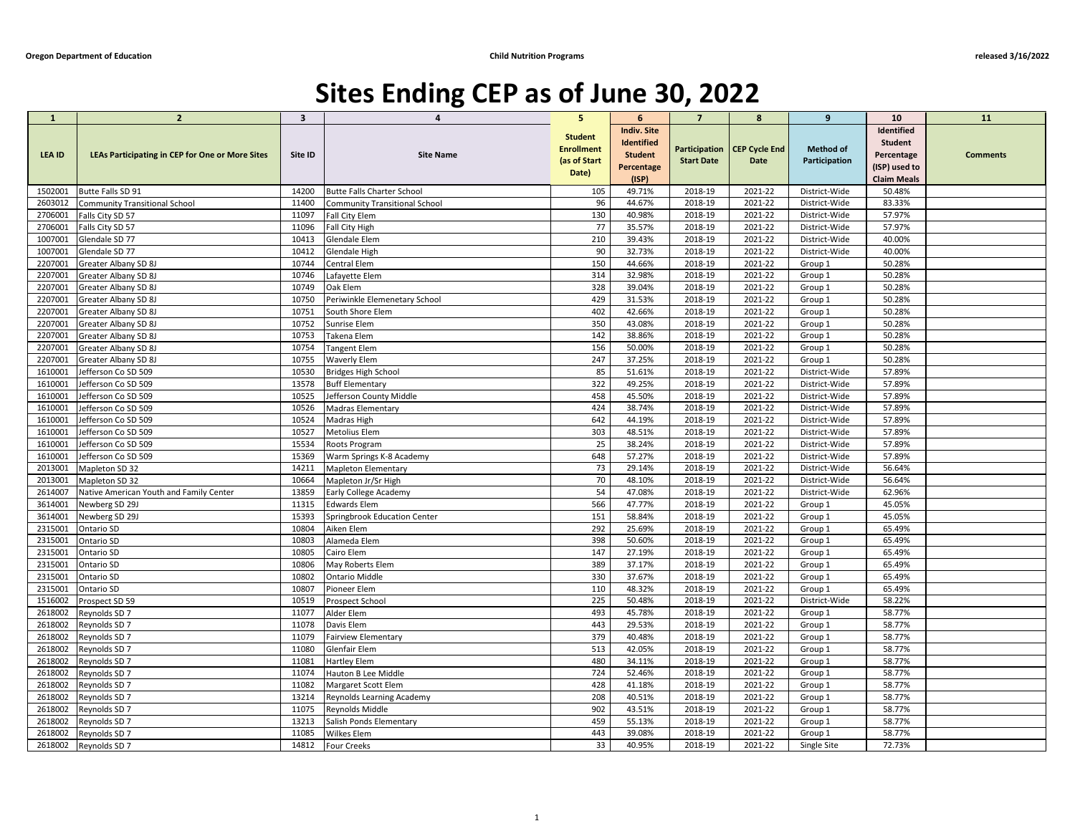## of Education<br>Sites Ending CEP as of June 30, 2022

| <b>Oregon Department of Education</b> |                                                        |                         | <b>Child Nutrition Programs</b>              |                                                              |                                                                                  |                                    |                                     |                                   | released 3/16/2022                                                                |                 |
|---------------------------------------|--------------------------------------------------------|-------------------------|----------------------------------------------|--------------------------------------------------------------|----------------------------------------------------------------------------------|------------------------------------|-------------------------------------|-----------------------------------|-----------------------------------------------------------------------------------|-----------------|
|                                       |                                                        |                         | Sites Ending CEP as of June 30, 2022         |                                                              |                                                                                  |                                    |                                     |                                   |                                                                                   |                 |
| $\mathbf{1}$                          | $\overline{2}$                                         | $\overline{\mathbf{3}}$ |                                              |                                                              |                                                                                  |                                    | 8                                   | 9                                 | 10                                                                                | 11              |
| <b>LEA ID</b>                         | <b>LEAs Participating in CEP for One or More Sites</b> | Site ID                 | <b>Site Name</b>                             | <b>Student</b><br><b>Enrollment</b><br>(as of Start<br>Date) | <b>Indiv. Site</b><br><b>Identified</b><br><b>Student</b><br>Percentage<br>(ISP) | Participation<br><b>Start Date</b> | <b>CEP Cycle End</b><br><b>Date</b> | <b>Method of</b><br>Participation | Identified<br><b>Student</b><br>Percentage<br>(ISP) used to<br><b>Claim Meals</b> | <b>Comments</b> |
| 1502001                               | Butte Falls SD 91                                      | 14200                   | <b>Butte Falls Charter School</b>            | 105                                                          | 49.71%                                                                           | 2018-19                            | 2021-22                             | District-Wide                     | 50.48%                                                                            |                 |
| 2603012                               | <b>Community Transitional School</b>                   | 11400                   | <b>Community Transitional School</b>         | 96                                                           | 44.67%                                                                           | 2018-19                            | 2021-22                             | District-Wide                     | 83.33%                                                                            |                 |
| 2706001                               | Falls City SD 57                                       | 11097                   | Fall City Elem                               | 130                                                          | 40.98%                                                                           | 2018-19                            | 2021-22                             | District-Wide                     | 57.97%                                                                            |                 |
| 2706001                               | Falls City SD 57                                       | 11096                   | Fall City High                               | 77                                                           | 35.57%                                                                           | 2018-19                            | 2021-22                             | District-Wide                     | 57.97%                                                                            |                 |
| 1007001                               | Glendale SD 77                                         | 10413                   | Glendale Elem                                | 210                                                          | 39.43%                                                                           | 2018-19                            | 2021-22                             | District-Wide                     | 40.00%                                                                            |                 |
| 1007001                               | Glendale SD 77                                         | 10412                   | <b>Glendale High</b>                         | 90                                                           | 32.73%                                                                           | 2018-19                            | 2021-22                             | District-Wide                     | 40.00%                                                                            |                 |
| 2207001                               | Greater Albany SD 8J                                   | 10744                   | Central Elem                                 | 150                                                          | 44.66%                                                                           | 2018-19                            | 2021-22                             | Group 1                           | 50.28%                                                                            |                 |
| 2207001                               | Greater Albany SD 8J                                   | 10746                   | Lafayette Elem                               | 314                                                          | 32.98%                                                                           | 2018-19                            | 2021-22                             | Group 1                           | 50.28%                                                                            |                 |
| 2207001                               | Greater Albany SD 8J                                   | 10749                   | Oak Elem                                     | 328                                                          | 39.04%                                                                           | 2018-19                            | 2021-22                             | Group 1                           | 50.28%                                                                            |                 |
| 2207001                               | Greater Albany SD 8J                                   | 10750                   | Periwinkle Elemenetary School                | 429                                                          | 31.53%                                                                           | 2018-19                            | 2021-22                             | Group 1                           | 50.28%                                                                            |                 |
| 2207001                               | Greater Albany SD 8J                                   | 10751                   | South Shore Elem                             | 402                                                          | 42.66%                                                                           | 2018-19                            | 2021-22                             | Group 1                           | 50.28%                                                                            |                 |
| 2207001                               | Greater Albany SD 8J                                   | 10752                   | Sunrise Elem                                 | 350                                                          | 43.08%                                                                           | 2018-19                            | 2021-22                             | Group 1                           | 50.28%                                                                            |                 |
| 2207001                               | Greater Albany SD 8J                                   | 10753                   | Takena Elem                                  | 142                                                          | 38.86%                                                                           | 2018-19                            | 2021-22                             | Group 1                           | 50.28%                                                                            |                 |
| 2207001                               | Greater Albany SD 8J                                   | 10754                   | <b>Tangent Elem</b>                          | 156                                                          | 50.00%                                                                           | 2018-19                            | 2021-22                             | Group 1                           | 50.28%                                                                            |                 |
| 2207001                               | Greater Albany SD 8J                                   | 10755                   | Waverly Elem                                 | 247<br>85                                                    | 37.25%                                                                           | 2018-19                            | 2021-22<br>2021-22                  | Group 1                           | 50.28%                                                                            |                 |
| 1610001                               | Jefferson Co SD 509                                    | 10530                   | <b>Bridges High School</b>                   | 322                                                          | 51.61%                                                                           | 2018-19<br>2018-19                 | 2021-22                             | District-Wide                     | 57.89%                                                                            |                 |
| 1610001<br>1610001                    | Jefferson Co SD 509                                    | 13578<br>10525          | <b>Buff Elementary</b>                       | 458                                                          | 49.25%<br>45.50%                                                                 | 2018-19                            | 2021-22                             | District-Wide<br>District-Wide    | 57.89%<br>57.89%                                                                  |                 |
| 1610001                               | Jefferson Co SD 509<br>Jefferson Co SD 509             | 10526                   | Jefferson County Middle<br>Madras Elementary | 424                                                          | 38.74%                                                                           | 2018-19                            | 2021-22                             | District-Wide                     | 57.89%                                                                            |                 |
|                                       | Jefferson Co SD 509                                    | 10524                   |                                              | 642                                                          | 44.19%                                                                           | 2018-19                            | 2021-22                             |                                   | 57.89%                                                                            |                 |
| 1610001<br>1610001                    |                                                        | 10527                   | Madras High                                  | 303                                                          | 48.51%                                                                           | 2018-19                            | 2021-22                             | District-Wide<br>District-Wide    | 57.89%                                                                            |                 |
| 1610001                               | Jefferson Co SD 509<br>Jefferson Co SD 509             | 15534                   | Metolius Elem<br>Roots Program               | 25                                                           | 38.24%                                                                           | 2018-19                            | 2021-22                             | District-Wide                     | 57.89%                                                                            |                 |
| 1610001                               | Jefferson Co SD 509                                    | 15369                   | Warm Springs K-8 Academy                     | 648                                                          | 57.27%                                                                           | 2018-19                            | 2021-22                             | District-Wide                     | 57.89%                                                                            |                 |
| 2013001                               | Mapleton SD 32                                         | 14211                   | <b>Mapleton Elementary</b>                   | 73                                                           | 29.14%                                                                           | 2018-19                            | 2021-22                             | District-Wide                     | 56.64%                                                                            |                 |
| 2013001                               | Mapleton SD 32                                         | 10664                   | Mapleton Jr/Sr High                          | 70                                                           | 48.10%                                                                           | 2018-19                            | 2021-22                             | District-Wide                     | 56.64%                                                                            |                 |
| 2614007                               | Native American Youth and Family Center                | 13859                   | Early College Academy                        | 54                                                           | 47.08%                                                                           | 2018-19                            | 2021-22                             | District-Wide                     | 62.96%                                                                            |                 |
| 3614001                               | Newberg SD 29J                                         | 11315                   | <b>Edwards Elem</b>                          | 566                                                          | 47.77%                                                                           | 2018-19                            | 2021-22                             | Group 1                           | 45.05%                                                                            |                 |
| 3614001                               | Newberg SD 29J                                         | 15393                   | Springbrook Education Center                 | 151                                                          | 58.84%                                                                           | 2018-19                            | 2021-22                             | Group 1                           | 45.05%                                                                            |                 |
| 2315001                               | Ontario SD                                             | 10804                   | Aiken Elem                                   | 292                                                          | 25.69%                                                                           | 2018-19                            | 2021-22                             | Group 1                           | 65.49%                                                                            |                 |
| 2315001                               | Ontario SD                                             | 10803                   | Alameda Elem                                 | 398                                                          | 50.60%                                                                           | 2018-19                            | 2021-22                             | Group 1                           | 65.49%                                                                            |                 |
| 2315001                               | Ontario SD                                             | 10805                   | Cairo Elem                                   | 147                                                          | 27.19%                                                                           | 2018-19                            | 2021-22                             | Group 1                           | 65.49%                                                                            |                 |
| 2315001                               | Ontario SD                                             | 10806                   | May Roberts Elem                             | 389                                                          | 37.17%                                                                           | 2018-19                            | 2021-22                             | Group 1                           | 65.49%                                                                            |                 |
| 2315001                               | Ontario SD                                             | 10802                   | <b>Ontario Middle</b>                        | 330                                                          | 37.67%                                                                           | 2018-19                            | 2021-22                             | Group 1                           | 65.49%                                                                            |                 |
| 2315001                               | Ontario SD                                             | 10807                   | Pioneer Elem                                 | 110                                                          | 48.32%                                                                           | 2018-19                            | 2021-22                             | Group 1                           | 65.49%                                                                            |                 |
| 1516002                               | Prospect SD 59                                         | 10519                   | Prospect School                              | 225                                                          | 50.48%                                                                           | 2018-19                            | 2021-22                             | District-Wide                     | 58.22%                                                                            |                 |
| 2618002                               | Reynolds SD 7                                          | 11077                   | Alder Elem                                   | 493                                                          | 45.78%                                                                           | 2018-19                            | 2021-22                             | Group 1                           | 58.77%                                                                            |                 |
| 2618002                               | Reynolds SD 7                                          | 11078                   | Davis Elem                                   | 443                                                          | 29.53%                                                                           | 2018-19                            | 2021-22                             | Group 1                           | 58.77%                                                                            |                 |
| 2618002                               | Reynolds SD 7                                          | 11079                   | <b>Fairview Elementary</b>                   | 379                                                          | 40.48%                                                                           | 2018-19                            | 2021-22                             | Group 1                           | 58.77%                                                                            |                 |
| 2618002                               | Reynolds SD 7                                          | 11080                   | Glenfair Elem                                | 513                                                          | 42.05%                                                                           | 2018-19                            | 2021-22                             | Group 1                           | 58.77%                                                                            |                 |
| 2618002                               | Reynolds SD 7                                          | 11081                   | <b>Hartley Elem</b>                          | 480                                                          | 34.11%                                                                           | 2018-19                            | 2021-22                             | Group 1                           | 58.77%                                                                            |                 |
| 2618002                               | Reynolds SD 7                                          | 11074                   | Hauton B Lee Middle                          | 724                                                          | 52.46%                                                                           | 2018-19                            | 2021-22                             | Group 1                           | 58.77%                                                                            |                 |
| 2618002                               | Reynolds SD 7                                          | 11082                   | Margaret Scott Elem                          | 428                                                          | 41.18%                                                                           | 2018-19                            | 2021-22                             | Group 1                           | 58.77%                                                                            |                 |
| 2618002                               | Reynolds SD 7                                          | 13214                   | Reynolds Learning Academy                    | 208                                                          | 40.51%                                                                           | 2018-19                            | 2021-22                             | Group 1                           | 58.77%                                                                            |                 |
| 2618002                               | Reynolds SD 7                                          | 11075                   | Reynolds Middle                              | 902                                                          | 43.51%                                                                           | 2018-19                            | 2021-22                             | Group 1                           | 58.77%                                                                            |                 |
| 2618002                               | Reynolds SD 7                                          | 13213                   | Salish Ponds Elementary                      | 459                                                          | 55.13%                                                                           | 2018-19                            | 2021-22                             | Group 1                           | 58.77%                                                                            |                 |
| 2618002                               | Reynolds SD 7                                          | 11085                   | Wilkes Elem                                  | 443                                                          | 39.08%                                                                           | 2018-19                            | 2021-22                             | Group 1                           | 58.77%                                                                            |                 |
| 2618002                               | Reynolds SD 7                                          | 14812                   | <b>Four Creeks</b>                           | 33                                                           | 40.95%                                                                           | 2018-19                            | 2021-22                             | Single Site                       | 72.73%                                                                            |                 |